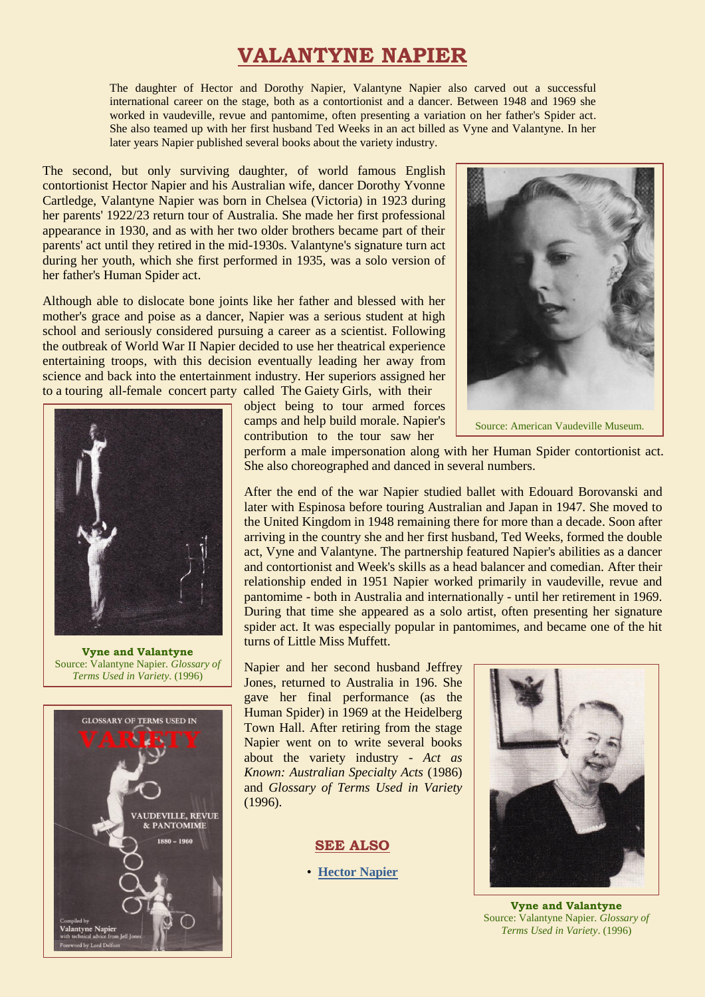## **VALANTYNE NAPIER**

The daughter of Hector and Dorothy Napier, Valantyne Napier also carved out a successful international career on the stage, both as a contortionist and a dancer. Between 1948 and 1969 she worked in vaudeville, revue and pantomime, often presenting a variation on her father's Spider act. She also teamed up with her first husband Ted Weeks in an act billed as Vyne and Valantyne. In her later years Napier published several books about the variety industry.

The second, but only surviving daughter, of world famous English contortionist Hector Napier and his Australian wife, dancer Dorothy Yvonne Cartledge, Valantyne Napier was born in Chelsea (Victoria) in 1923 during her parents' 1922/23 return tour of Australia. She made her first professional appearance in 1930, and as with her two older brothers became part of their parents' act until they retired in the mid-1930s. Valantyne's signature turn act during her youth, which she first performed in 1935, was a solo version of her father's Human Spider act.

Although able to dislocate bone joints like her father and blessed with her mother's grace and poise as a dancer, Napier was a serious student at high school and seriously considered pursuing a career as a scientist. Following the outbreak of World War II Napier decided to use her theatrical experience entertaining troops, with this decision eventually leading her away from science and back into the entertainment industry. Her superiors assigned her to a touring all-female concert party called The Gaiety Girls, with their



**Vyne and Valantyne**  Source: Valantyne Napier. *Glossary of Terms Used in Variety*. (1996)



object being to tour armed forces camps and help build morale. Napier's contribution to the tour saw her



perform a male impersonation along with her Human Spider contortionist act. She also choreographed and danced in several numbers.

After the end of the war Napier studied ballet with Edouard Borovanski and later with Espinosa before touring Australian and Japan in 1947. She moved to the United Kingdom in 1948 remaining there for more than a decade. Soon after arriving in the country she and her first husband, Ted Weeks, formed the double act, Vyne and Valantyne. The partnership featured Napier's abilities as a dancer and contortionist and Week's skills as a head balancer and comedian. After their relationship ended in 1951 Napier worked primarily in vaudeville, revue and pantomime - both in Australia and internationally - until her retirement in 1969. During that time she appeared as a solo artist, often presenting her signature spider act. It was especially popular in pantomimes, and became one of the hit turns of Little Miss Muffett.

Napier and her second husband Jeffrey Jones, returned to Australia in 196. She gave her final performance (as the Human Spider) in 1969 at the Heidelberg Town Hall. After retiring from the stage Napier went on to write several books about the variety industry - *Act as Known: Australian Specialty Acts* (1986) and *Glossary of Terms Used in Variety* (1996).

**SEE ALSO**

• **[Hector Napier](http://ozvta.com/practitioners-n/)**



**Vyne and Valantyne** Source: Valantyne Napier. *Glossary of Terms Used in Variety*. (1996)